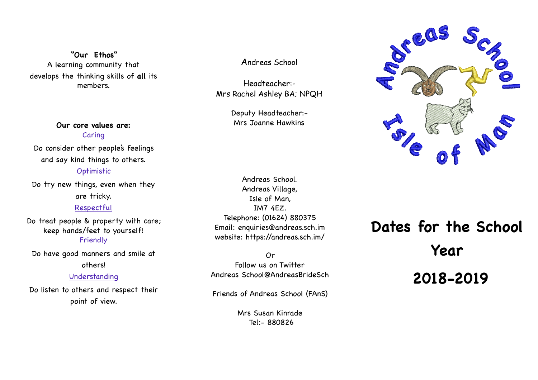**"Our Ethos"**  A learning community that develops the thinking skills of **all** its members.

> **Our core values are:** Caring

Do consider other people's feelings and say kind things to others.

### Optimistic

Do try new things, even when they are tricky. Respectful

Do treat people & property with care; keep hands/feet to yourself! Friendly

Do have good manners and smile at others!

#### Understanding

Do listen to others and respect their point of view.

Andreas School

Headteacher:- Mrs Rachel Ashley BA; NPQH

> Deputy Headteacher:- Mrs Joanne Hawkins

Andreas School. Andreas Village, Isle of Man, IM7 4EZ. Telephone: (01624) 880375 Email: enquiries@andreas.sch.im website: https://andreas.sch.im/

Or Follow us on Twitter Andreas School@AndreasBrideSch

Friends of Andreas School (FAnS)

Mrs Susan Kinrade Tel:- 880826



# **Dates for the School Year 2018-2019**